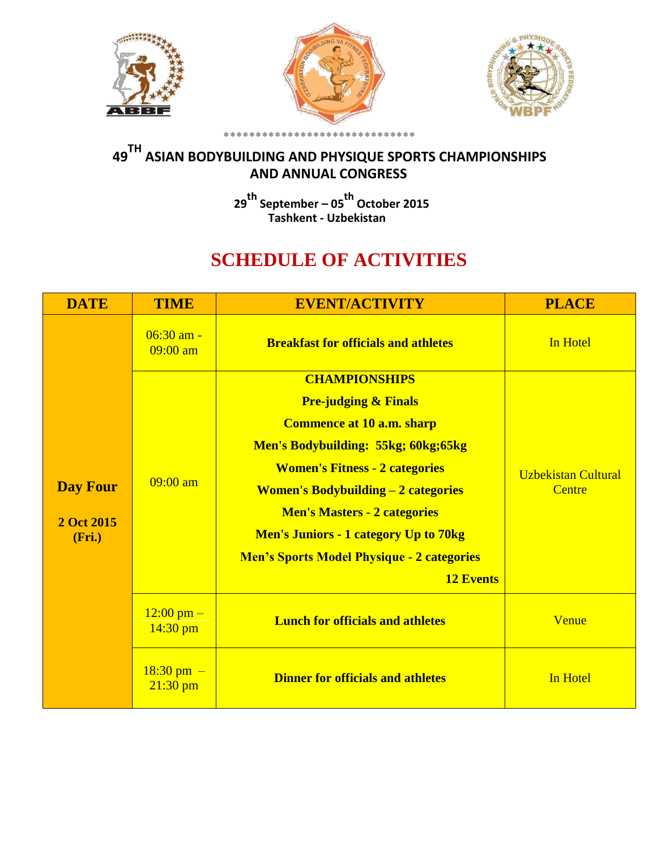





## **<sup>49</sup>TH ASIAN BODYBUILDING AND PHYSIQUE SPORTS CHAMPIONSHIPS AND ANNUAL CONGRESS**

**<sup>29</sup>th September – <sup>05</sup>th October 2015 Tashkent - Uzbekistan**

## **SCHEDULE OF ACTIVITIES**

| <b>DATE</b>          | <b>TIME</b>                         | <b>EVENT/ACTIVITY</b>                                  | <b>PLACE</b>                         |
|----------------------|-------------------------------------|--------------------------------------------------------|--------------------------------------|
|                      | $06:30$ am -<br>$09:00$ am          | <b>Breakfast for officials and athletes</b>            | In Hotel                             |
|                      |                                     | <b>CHAMPIONSHIPS</b>                                   |                                      |
|                      |                                     | <b>Pre-judging &amp; Finals</b>                        |                                      |
|                      |                                     | <b>Commence at 10 a.m. sharp</b>                       | <b>Uzbekistan Cultural</b><br>Centre |
|                      |                                     | Men's Bodybuilding: 55kg; 60kg; 65kg                   |                                      |
|                      |                                     | <b>Women's Fitness - 2 categories</b>                  |                                      |
| <b>Day Four</b>      | $09:00$ am                          | <b>Women's Bodybuilding <math>-2</math> categories</b> |                                      |
| 2 Oct 2015<br>(Fri.) |                                     | <b>Men's Masters - 2 categories</b>                    |                                      |
|                      |                                     | <b>Men's Juniors - 1 category Up to 70kg</b>           |                                      |
|                      |                                     | <b>Men's Sports Model Physique - 2 categories</b>      |                                      |
|                      |                                     | <b>12 Events</b>                                       |                                      |
|                      | $12:00 \text{ pm} -$<br>$14:30$ pm  | <b>Lunch for officials and athletes</b>                | Venue                                |
|                      | $18:30 \text{ pm } -$<br>$21:30$ pm | <b>Dinner for officials and athletes</b>               | In Hotel                             |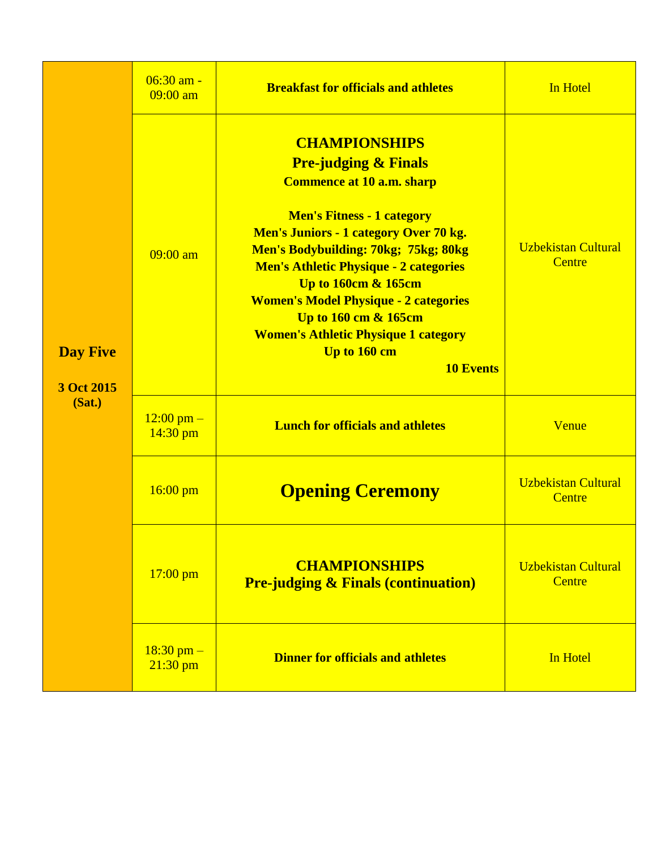| <b>Day Five</b><br>3 Oct 2015<br>(Sat.) | $06:30$ am -<br>$09:00$ am         | <b>Breakfast for officials and athletes</b>                                                                                                                                                                                                                                                                                                                                                                                                                             | In Hotel                             |
|-----------------------------------------|------------------------------------|-------------------------------------------------------------------------------------------------------------------------------------------------------------------------------------------------------------------------------------------------------------------------------------------------------------------------------------------------------------------------------------------------------------------------------------------------------------------------|--------------------------------------|
|                                         | $09:00$ am                         | <b>CHAMPIONSHIPS</b><br><b>Pre-judging &amp; Finals</b><br><b>Commence at 10 a.m. sharp</b><br><b>Men's Fitness - 1 category</b><br><b>Men's Juniors - 1 category Over 70 kg.</b><br>Men's Bodybuilding: 70kg; 75kg; 80kg<br><b>Men's Athletic Physique - 2 categories</b><br><b>Up to 160cm &amp; 165cm</b><br><b>Women's Model Physique - 2 categories</b><br>Up to 160 cm & 165cm<br><b>Women's Athletic Physique 1 category</b><br>Up to 160 cm<br><b>10 Events</b> | <b>Uzbekistan Cultural</b><br>Centre |
|                                         | $12:00 \text{ pm} -$<br>$14:30$ pm | <b>Lunch for officials and athletes</b>                                                                                                                                                                                                                                                                                                                                                                                                                                 | Venue                                |
|                                         | $16:00$ pm                         | <b>Opening Ceremony</b>                                                                                                                                                                                                                                                                                                                                                                                                                                                 | <b>Uzbekistan Cultural</b><br>Centre |
|                                         | $17:00$ pm                         | <b>CHAMPIONSHIPS</b><br><b>Pre-judging &amp; Finals (continuation)</b>                                                                                                                                                                                                                                                                                                                                                                                                  | <b>Uzbekistan Cultural</b><br>Centre |
|                                         | $18:30$ pm $-$<br>$21:30$ pm       | <b>Dinner for officials and athletes</b>                                                                                                                                                                                                                                                                                                                                                                                                                                | In Hotel                             |